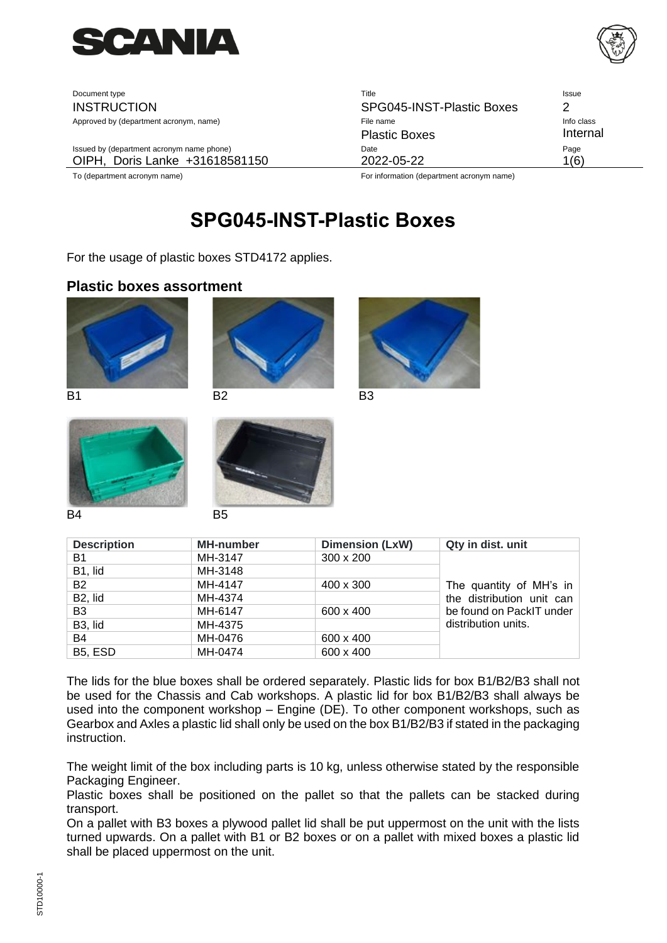

| Document type                             | Title                     | Issue      |
|-------------------------------------------|---------------------------|------------|
| <b>INSTRUCTION</b>                        | SPG045-INST-Plastic Boxes |            |
| Approved by (department acronym, name)    | File name                 | Info class |
|                                           | <b>Plastic Boxes</b>      | Internal   |
| Issued by (department acronym name phone) | Date                      | Page       |
| OIPH, Doris Lanke +31618581150            | 2022-05-22                | 1(6)       |
|                                           |                           |            |

To (department acronym name) For information (department acronym name)

# <span id="page-0-0"></span>**[SPG045-INST-Plastic Boxes](#page-0-0)**

For the usage of plastic boxes STD4172 applies.

#### **Plastic boxes assortment**









| <b>Description</b>   | <b>MH-number</b> | <b>Dimension (LxW)</b> | Qty in dist. unit         |
|----------------------|------------------|------------------------|---------------------------|
| B1                   | MH-3147          | 300 x 200              |                           |
| B1, lid              | MH-3148          |                        |                           |
| B2                   | MH-4147          | 400 x 300              | The quantity of MH's in   |
| B <sub>2</sub> , lid | MH-4374          |                        | the distribution unit can |
| B3                   | MH-6147          | 600 x 400              | be found on PackIT under  |
| B <sub>3</sub> , lid | MH-4375          |                        | distribution units.       |
| B4                   | MH-0476          | 600 x 400              |                           |
| B5, ESD              | MH-0474          | 600 x 400              |                           |

The lids for the blue boxes shall be ordered separately. Plastic lids for box B1/B2/B3 shall not be used for the Chassis and Cab workshops. A plastic lid for box B1/B2/B3 shall always be used into the component workshop – Engine (DE). To other component workshops, such as Gearbox and Axles a plastic lid shall only be used on the box B1/B2/B3 if stated in the packaging instruction.

The weight limit of the box including parts is 10 kg, unless otherwise stated by the responsible Packaging Engineer.

Plastic boxes shall be positioned on the pallet so that the pallets can be stacked during transport.

On a pallet with B3 boxes a plywood pallet lid shall be put uppermost on the unit with the lists turned upwards. On a pallet with B1 or B2 boxes or on a pallet with mixed boxes a plastic lid shall be placed uppermost on the unit.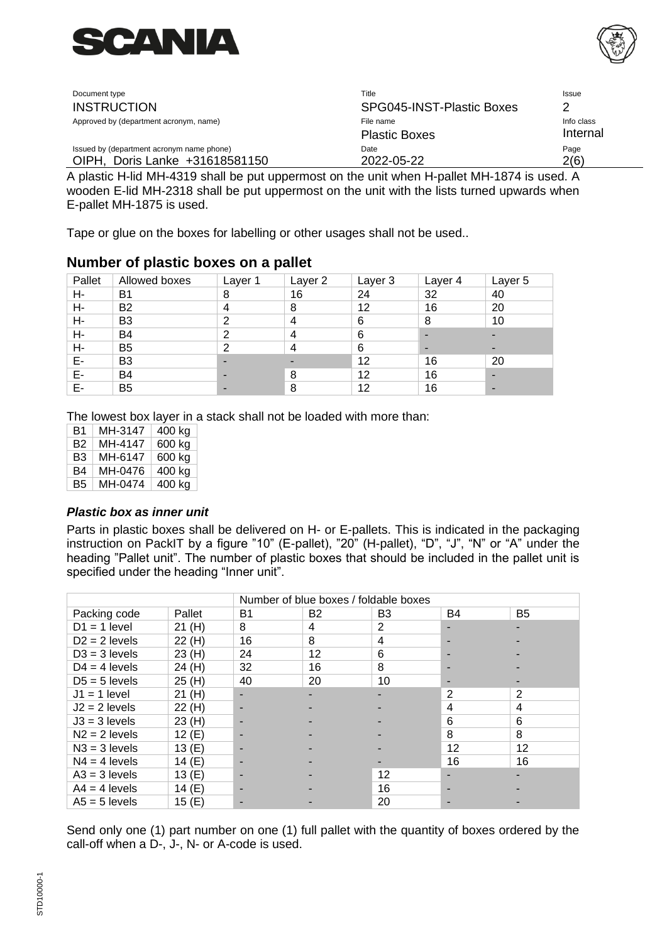



| Document type                             | Title                     | <b>Issue</b> |
|-------------------------------------------|---------------------------|--------------|
| <b>INSTRUCTION</b>                        | SPG045-INST-Plastic Boxes |              |
| Approved by (department acronym, name)    | File name                 | Info class   |
|                                           | <b>Plastic Boxes</b>      | Internal     |
| Issued by (department acronym name phone) | Date                      | Page         |
| OIPH, Doris Lanke +31618581150            | 2022-05-22                | 2(6)         |

A plastic H-lid MH-4319 shall be put uppermost on the unit when H-pallet MH-1874 is used. A wooden E-lid MH-2318 shall be put uppermost on the unit with the lists turned upwards when E-pallet MH-1875 is used.

Tape or glue on the boxes for labelling or other usages shall not be used..

### **Number of plastic boxes on a pallet**

| Pallet | Allowed boxes  | Layer 1 | Layer 2 | Layer 3 | Layer 4 | Layer 5 |
|--------|----------------|---------|---------|---------|---------|---------|
| Н-     | B <sub>1</sub> | 8       | 16      | 24      | 32      | 40      |
| Н-     | <b>B2</b>      | 4       | 8       | 12      | 16      | 20      |
| Н-     | B <sub>3</sub> | 2       | 4       | 6       | 8       | 10      |
| Н-     | B <sub>4</sub> | 2       | 4       | 6       | -       | -       |
| Н-     | B <sub>5</sub> | 2       | 4       | 6       | -       |         |
| Е-     | B <sub>3</sub> | ۰       |         | 12      | 16      | 20      |
| E-     | B <sub>4</sub> | ۰       | 8       | 12      | 16      |         |
| Е-     | B <sub>5</sub> | ۰       | 8       | 12      | 16      |         |

The lowest box layer in a stack shall not be loaded with more than:

| B1 | MH-3147 | 400 kg |
|----|---------|--------|
| Β2 | MH-4147 | 600 kg |
| B3 | MH-6147 | 600 kg |
| B4 | MH-0476 | 400 kg |
| В5 | MH-0474 | 400 kg |
|    |         |        |

#### *Plastic box as inner unit*

Parts in plastic boxes shall be delivered on H- or E-pallets. This is indicated in the packaging instruction on PackIT by a figure "10" (E-pallet), "20" (H-pallet), "D", "J", "N" or "A" under the heading "Pallet unit". The number of plastic boxes that should be included in the pallet unit is specified under the heading "Inner unit".

|                 |          | Number of blue boxes / foldable boxes |                |                |                |                |
|-----------------|----------|---------------------------------------|----------------|----------------|----------------|----------------|
| Packing code    | Pallet   | <b>B1</b>                             | B <sub>2</sub> | B <sub>3</sub> | B4             | B <sub>5</sub> |
| $D1 = 1$ level  | 21(H)    | 8                                     | 4              | 2              |                |                |
| $D2 = 2$ levels | 22 (H)   | 16                                    | 8              | 4              |                |                |
| $D3 = 3$ levels | 23(H)    | 24                                    | 12             | 6              |                |                |
| $D4 = 4$ levels | 24 (H)   | 32                                    | 16             | 8              |                |                |
| $D5 = 5$ levels | 25 (H)   | 40                                    | 20             | 10             |                |                |
| $J1 = 1$ level  | 21(H)    |                                       |                |                | $\overline{2}$ | $\overline{2}$ |
| $J2 = 2$ levels | 22 (H)   |                                       |                |                | 4              | 4              |
| $J3 = 3$ levels | 23(H)    |                                       |                |                | 6              | 6              |
| $N2 = 2$ levels | 12(E)    |                                       |                |                | 8              | 8              |
| $N3 = 3$ levels | 13(E)    |                                       |                |                | 12             | 12             |
| $N4 = 4$ levels | 14 (E)   |                                       |                |                | 16             | 16             |
| $A3 = 3$ levels | 13(E)    |                                       |                | 12             |                |                |
| $A4 = 4$ levels | 14 $(E)$ |                                       |                | 16             |                |                |
| $AS = 5$ levels | 15 $(E)$ |                                       |                | 20             |                |                |

Send only one (1) part number on one (1) full pallet with the quantity of boxes ordered by the call-off when a D-, J-, N- or A-code is used.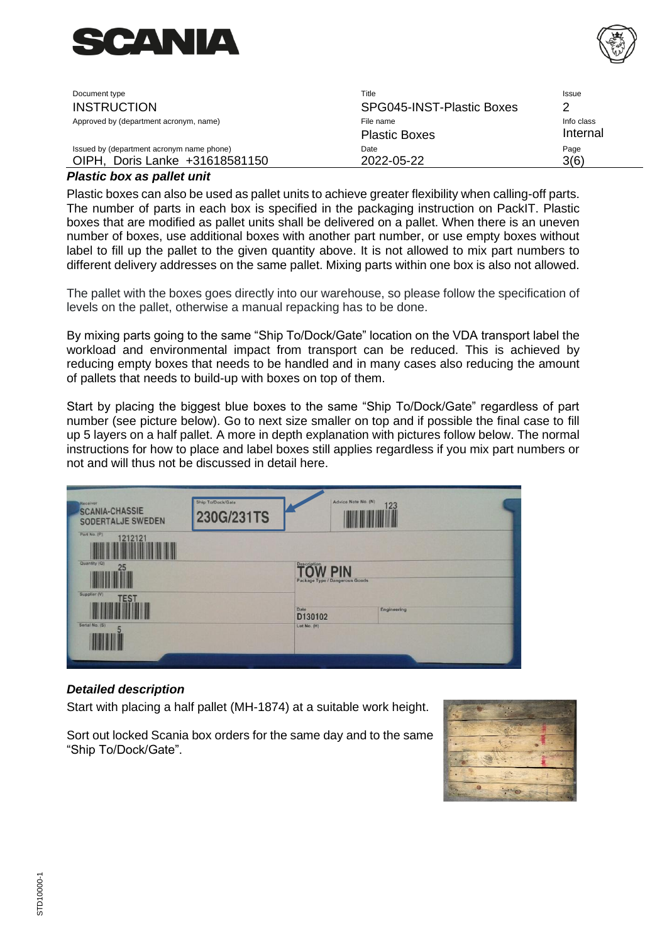



| Document type                             | Title                     | Issue      |
|-------------------------------------------|---------------------------|------------|
| <b>INSTRUCTION</b>                        | SPG045-INST-Plastic Boxes |            |
| Approved by (department acronym, name)    | File name                 | Info class |
|                                           | <b>Plastic Boxes</b>      | Internal   |
| Issued by (department acronym name phone) | Date                      | Page       |
| Doris Lanke +31618581150<br>OIPH.         | 2022-05-22                | 3(6)       |

#### *Plastic box as pallet unit*

Plastic boxes can also be used as pallet units to achieve greater flexibility when calling-off parts. The number of parts in each box is specified in the packaging instruction on PackIT. Plastic boxes that are modified as pallet units shall be delivered on a pallet. When there is an uneven number of boxes, use additional boxes with another part number, or use empty boxes without label to fill up the pallet to the given quantity above. It is not allowed to mix part numbers to different delivery addresses on the same pallet. Mixing parts within one box is also not allowed.

The pallet with the boxes goes directly into our warehouse, so please follow the specification of levels on the pallet, otherwise a manual repacking has to be done.

By mixing parts going to the same "Ship To/Dock/Gate" location on the VDA transport label the workload and environmental impact from transport can be reduced. This is achieved by reducing empty boxes that needs to be handled and in many cases also reducing the amount of pallets that needs to build-up with boxes on top of them.

Start by placing the biggest blue boxes to the same "Ship To/Dock/Gate" regardless of part number (see picture below). Go to next size smaller on top and if possible the final case to fill up 5 layers on a half pallet. A more in depth explanation with pictures follow below. The normal instructions for how to place and label boxes still applies regardless if you mix part numbers or not and will thus not be discussed in detail here.

| Receiver<br><b>SCANIA-CHASSIE</b><br>SODERTALJE SWEDEN<br>Part No. (P) | Ship To/Dock/Gate<br>230G/231TS |                                | Advice Note No. (N)<br>123 |  |
|------------------------------------------------------------------------|---------------------------------|--------------------------------|----------------------------|--|
| 1212121<br>Quantity (Q)                                                |                                 | <b>Description</b>             |                            |  |
| 25<br>Supplier (V)                                                     |                                 | Package Type / Dangerous Goods | <b>PIN</b>                 |  |
| <b>TEST</b><br>Serial No. (S)                                          |                                 | Date<br>D130102<br>Lot No. (H) | Engineering                |  |
|                                                                        |                                 |                                |                            |  |

#### *Detailed description*

Start with placing a half pallet (MH-1874) at a suitable work height.

Sort out locked Scania box orders for the same day and to the same "Ship To/Dock/Gate".

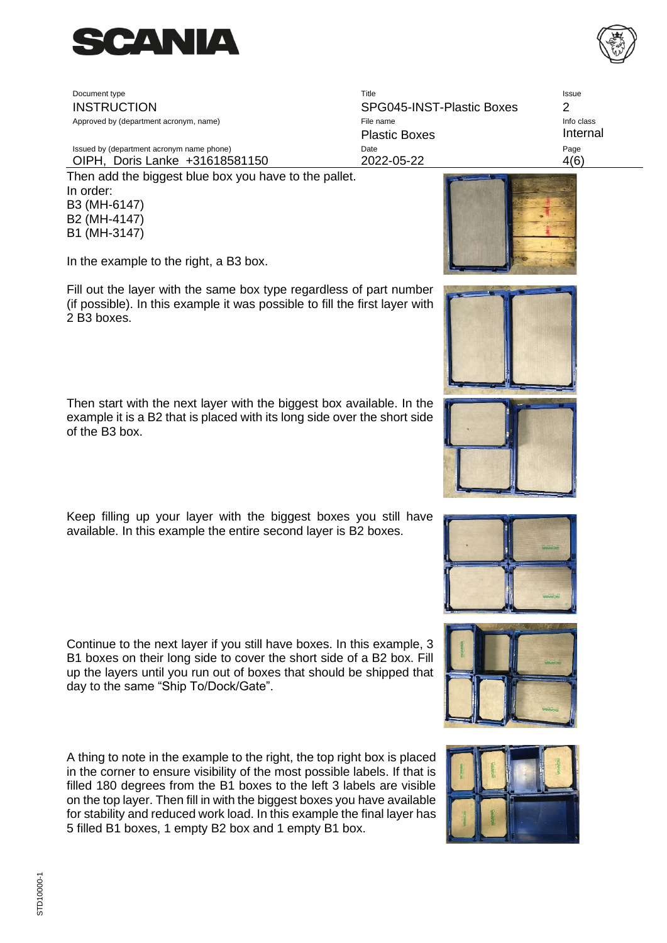

Document type **Title** Issue Issue Issue Issue Issue Issue Issue Issue Issue Issue Issue Issue Issue Issue Issue INSTRUCTION SPG045-INST-Plastic Boxes 2 Approved by (department acronym, name) and the state of the state of File name Info class and the class and the class

Issued by (department acronym name phone) and the Community Control Date Community Control of Page Page OIPH, Doris Lanke +31618581150 2022-05-22 4(6)

Then add the biggest blue box you have to the pallet. In order: B3 (MH-6147) B2 (MH-4147) B1 (MH-3147)

In the example to the right, a B3 box.

Fill out the layer with the same box type regardless of part number (if possible). In this example it was possible to fill the first layer with 2 B3 boxes.

Then start with the next layer with the biggest box available. In the example it is a B2 that is placed with its long side over the short side of the B3 box.

Keep filling up your layer with the biggest boxes you still have available. In this example the entire second layer is B2 boxes.

Continue to the next layer if you still have boxes. In this example, 3 B1 boxes on their long side to cover the short side of a B2 box. Fill up the layers until you run out of boxes that should be shipped that day to the same "Ship To/Dock/Gate".

A thing to note in the example to the right, the top right box is placed in the corner to ensure visibility of the most possible labels. If that is filled 180 degrees from the B1 boxes to the left 3 labels are visible on the top layer. Then fill in with the biggest boxes you have available for stability and reduced work load. In this example the final layer has 5 filled B1 boxes, 1 empty B2 box and 1 empty B1 box.





Plastic Boxes **Internal** 











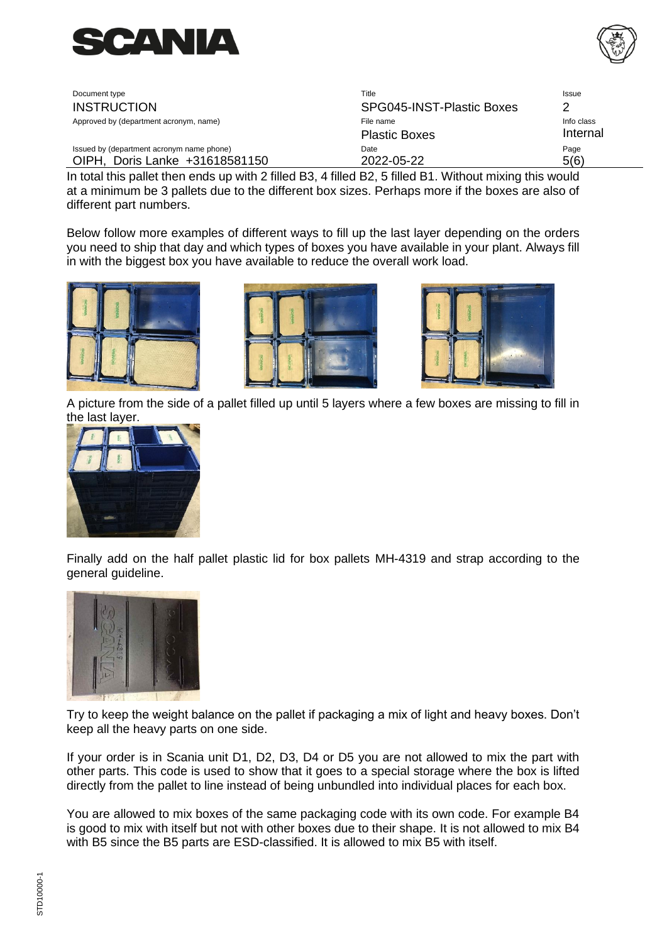



| Document type                             | Title                     | Issue      |
|-------------------------------------------|---------------------------|------------|
| <b>INSTRUCTION</b>                        | SPG045-INST-Plastic Boxes |            |
| Approved by (department acronym, name)    | File name                 | Info class |
|                                           | <b>Plastic Boxes</b>      | Internal   |
| Issued by (department acronym name phone) | Date                      | Page       |
| Doris Lanke +31618581150<br><b>OIPH</b>   | 2022-05-22                | 5(6)       |

In total this pallet then ends up with 2 filled B3, 4 filled B2, 5 filled B1. Without mixing this would at a minimum be 3 pallets due to the different box sizes. Perhaps more if the boxes are also of different part numbers.

Below follow more examples of different ways to fill up the last layer depending on the orders you need to ship that day and which types of boxes you have available in your plant. Always fill in with the biggest box you have available to reduce the overall work load.







A picture from the side of a pallet filled up until 5 layers where a few boxes are missing to fill in the last layer.



Finally add on the half pallet plastic lid for box pallets MH-4319 and strap according to the general guideline.



Try to keep the weight balance on the pallet if packaging a mix of light and heavy boxes. Don't keep all the heavy parts on one side.

If your order is in Scania unit D1, D2, D3, D4 or D5 you are not allowed to mix the part with other parts. This code is used to show that it goes to a special storage where the box is lifted directly from the pallet to line instead of being unbundled into individual places for each box.

You are allowed to mix boxes of the same packaging code with its own code. For example B4 is good to mix with itself but not with other boxes due to their shape. It is not allowed to mix B4 with B5 since the B5 parts are ESD-classified. It is allowed to mix B5 with itself.